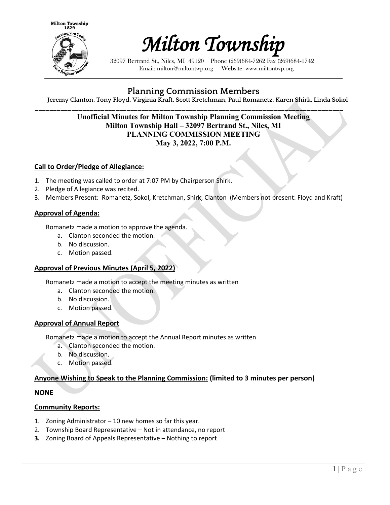



32097 Bertrand St., Niles, MI 49120 Phone (269)684-7262 Fax (269)684-1742 Email: milton@miltontwp.org Website: www.miltontwp.org

# **Planning Commission Members**

**Jeremy Clanton, Tony Floyd, Virginia Kraft, Scott Kretchman, Paul Romanetz, Karen Shirk, Linda Sokol**

## **\_\_\_\_\_\_\_\_\_\_\_\_\_\_\_\_\_\_\_\_\_\_\_\_\_\_\_\_\_\_\_\_\_\_\_\_\_\_\_\_\_\_\_\_\_\_\_\_\_\_\_\_\_\_\_\_\_\_\_\_\_\_\_\_\_\_\_\_\_\_\_\_\_\_\_\_\_\_\_\_\_\_\_\_ Unofficial Minutes for Milton Township Planning Commission Meeting Milton Township Hall – 32097 Bertrand St., Niles, MI PLANNING COMMISSION MEETING May 3, 2022, 7:00 P.M.**

## **Call to Order/Pledge of Allegiance:**

- 1. The meeting was called to order at 7:07 PM by Chairperson Shirk.
- 2. Pledge of Allegiance was recited.
- 3. Members Present: Romanetz, Sokol, Kretchman, Shirk, Clanton (Members not present: Floyd and Kraft)

## **Approval of Agenda:**

Romanetz made a motion to approve the agenda.

- a. Clanton seconded the motion.
- b. No discussion.
- c. Motion passed.

#### **Approval of Previous Minutes (April 5, 2022)**

Romanetz made a motion to accept the meeting minutes as written

- a. Clanton seconded the motion.
- b. No discussion.
- c. Motion passed.

#### **Approval of Annual Report**

Romanetz made a motion to accept the Annual Report minutes as written

- a. Clanton seconded the motion.
- b. No discussion.
- c. Motion passed.

## **Anyone Wishing to Speak to the Planning Commission: (limited to 3 minutes per person)**

#### **NONE**

#### **Community Reports:**

- 1. Zoning Administrator 10 new homes so far this year.
- 2. Township Board Representative Not in attendance, no report
- **3.** Zoning Board of Appeals Representative Nothing to report